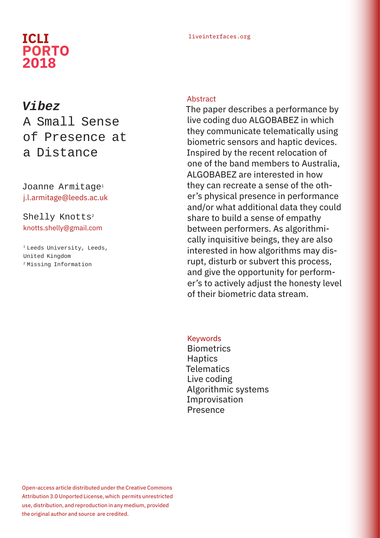# **PORTO 2018**

#### liveinterfaces.org **ICLI**

## *Vibez* A Small Sense

### of Presence at a Distance

#### Joanne Armitage<sup>1</sup> j.l.armitage@leeds.ac.uk

#### Shelly Knotts<sup>2</sup> knotts.shelly@gmail.com

<sup>1</sup> Leeds University, Leeds, United Kingdom 2 Missing Information

#### Abstract

The paper describes a performance by live coding duo ALGOBABEZ in which they communicate telematically using biometric sensors and haptic devices. Inspired by the recent relocation of one of the band members to Australia, ALGOBABEZ are interested in how they can recreate a sense of the other's physical presence in performance and/or what additional data they could share to build a sense of empathy between performers. As algorithmically inquisitive beings, they are also interested in how algorithms may disrupt, disturb or subvert this process, and give the opportunity for performer's to actively adjust the honesty level of their biometric data stream.

#### Keywords

**Biometrics Haptics Telematics** Live coding Algorithmic systems Improvisation Presence

Open-access article distributed under the Creative Commons Attribution 3.0 Unported License, which permits unrestricted use, distribution, and reproduction in any medium, provided the original author and source are credited.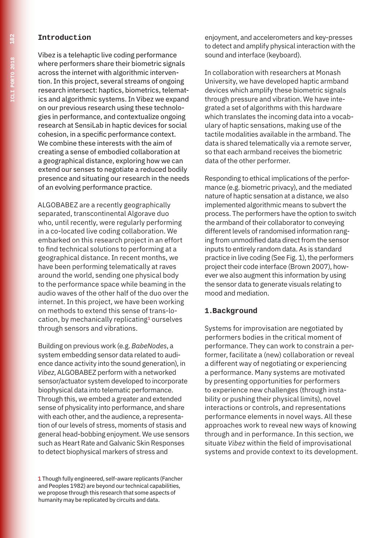#### **Introduction**

Vibez is a telehaptic live coding performance where performers share their biometric signals across the internet with algorithmic intervention. In this project, several streams of ongoing research intersect: haptics, biometrics, telematics and algorithmic systems. In Vibez we expand on our previous research using these technologies in performance, and contextualize ongoing research at SensiLab in haptic devices for social cohesion, in a specific performance context. We combine these interests with the aim of creating a sense of embodied collaboration at a geographical distance, exploring how we can extend our senses to negotiate a reduced bodily presence and situating our research in the needs of an evolving performance practice.

ALGOBABEZ are a recently geographically separated, transcontinental Algorave duo who, until recently, were regularly performing in a co-located live coding collaboration. We embarked on this research project in an effort to find technical solutions to performing at a geographical distance. In recent months, we have been performing telematically at raves around the world, sending one physical body to the performance space while beaming in the audio waves of the other half of the duo over the internet. In this project, we have been working on methods to extend this sense of trans-location, by mechanically replicating<sup>1</sup> ourselves through sensors and vibrations.

Building on previous work (e.g. *BabeNodes*, a system embedding sensor data related to audience dance activity into the sound generation), in *Vibez*, ALGOBABEZ perform with a networked sensor/actuator system developed to incorporate biophysical data into telematic performance. Through this, we embed a greater and extended sense of physicality into performance, and share with each other, and the audience, a representation of our levels of stress, moments of stasis and general head-bobbing enjoyment. We use sensors such as Heart Rate and Galvanic Skin Responses to detect biophysical markers of stress and

1 Though fully engineered, self-aware replicants (Fancher and Peoples 1982) are beyond our technical capabilities, we propose through this research that some aspects of humanity may be replicated by circuits and data.

enjoyment, and accelerometers and key-presses to detect and amplify physical interaction with the sound and interface (keyboard).

In collaboration with researchers at Monash University, we have developed haptic armband devices which amplify these biometric signals through pressure and vibration. We have integrated a set of algorithms with this hardware which translates the incoming data into a vocabulary of haptic sensations, making use of the tactile modalities available in the armband. The data is shared telematically via a remote server, so that each armband receives the biometric data of the other performer.

Responding to ethical implications of the performance (e.g. biometric privacy), and the mediated nature of haptic sensation at a distance, we also implemented algorithmic means to subvert the process. The performers have the option to switch the armband of their collaborator to conveying different levels of randomised information ranging from unmodified data direct from the sensor inputs to entirely random data. As is standard practice in live coding (See Fig. 1), the performers project their code interface (Brown 2007), however we also augment this information by using the sensor data to generate visuals relating to mood and mediation.

#### **1.Background**

Systems for improvisation are negotiated by performers bodies in the critical moment of performance. They can work to constrain a performer, facilitate a (new) collaboration or reveal a different way of negotiating or experiencing a performance. Many systems are motivated by presenting opportunities for performers to experience new challenges (through instability or pushing their physical limits), novel interactions or controls, and representations performance elements in novel ways. All these approaches work to reveal new ways of knowing through and in performance. In this section, we situate *Vibez* within the field of improvisational systems and provide context to its development.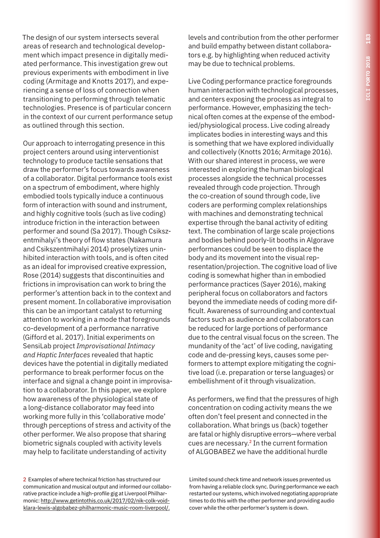The design of our system intersects several areas of research and technological development which impact presence in digitally mediated performance. This investigation grew out previous experiments with embodiment in live coding (Armitage and Knotts 2017), and experiencing a sense of loss of connection when transitioning to performing through telematic technologies. Presence is of particular concern in the context of our current performance setup as outlined through this section.

Our approach to interrogating presence in this project centers around using interventionist technology to produce tactile sensations that draw the performer's focus towards awareness of a collaborator. Digital performance tools exist on a spectrum of embodiment, where highly embodied tools typically induce a continuous form of interaction with sound and instrument, and highly cognitive tools (such as live coding) introduce friction in the interaction between performer and sound (Sa 2017). Though Csikszentmihalyi's theory of flow states (Nakamura and Csikszentmihalyi 2014) proselytizes uninhibited interaction with tools, and is often cited as an ideal for improvised creative expression, Rose (2014) suggests that discontinuities and frictions in improvisation can work to bring the performer's attention back in to the context and present moment. In collaborative improvisation this can be an important catalyst to returning attention to working in a mode that foregrounds co-development of a performance narrative (Gifford et al. 2017). Initial experiments on SensiLab project *Improvisational Intimacy and Haptic Interfaces* revealed that haptic devices have the potential in digitally mediated performance to break performer focus on the interface and signal a change point in improvisation to a collaborator. In this paper, we explore how awareness of the physiological state of a long-distance collaborator may feed into working more fully in this 'collaborative mode' through perceptions of stress and activity of the other performer. We also propose that sharing biometric signals coupled with activity levels may help to facilitate understanding of activity

2 Examples of where technical friction has structured our communication and musical output and informed our collaborative practice include a high-profile gig at Liverpool Philharmonic: http://www.getintothis.co.uk/2017/02/nik-colk-voidklara-lewis-algobabez-philharmonic-music-room-liverpool/.

levels and contribution from the other performer and build empathy between distant collaborators e.g. by highlighting when reduced activity may be due to technical problems.

Live Coding performance practice foregrounds human interaction with technological processes, and centers exposing the process as integral to performance. However, emphasizing the technical often comes at the expense of the embodied/physiological process. Live coding already implicates bodies in interesting ways and this is something that we have explored individually and collectively (Knotts 2016; Armitage 2016). With our shared interest in process, we were interested in exploring the human biological processes alongside the technical processes revealed through code projection. Through the co-creation of sound through code, live coders are performing complex relationships with machines and demonstrating technical expertise through the banal activity of editing text. The combination of large scale projections and bodies behind poorly-lit booths in Algorave performances could be seen to displace the body and its movement into the visual representation/projection. The cognitive load of live coding is somewhat higher than in embodied performance practices (Sayer 2016), making peripheral focus on collaborators and factors beyond the immediate needs of coding more difficult. Awareness of surrounding and contextual factors such as audience and collaborators can be reduced for large portions of performance due to the central visual focus on the screen. The mundanity of the 'act' of live coding, navigating code and de-pressing keys, causes some performers to attempt explore mitigating the cognitive load (i.e. preparation or terse languages) or embellishment of it through visualization.

As performers, we find that the pressures of high concentration on coding activity means the we often don't feel present and connected in the collaboration. What brings us (back) together are fatal or highly disruptive errors—where verbal cues are necessary.<sup>2</sup> In the current formation of ALGOBABEZ we have the additional hurdle

Limited sound check time and network issues prevented us from having a reliable clock sync. During performance we each restarted our systems, which involved negotiating appropriate times to do this with the other performer and providing audio cover while the other performer's system is down.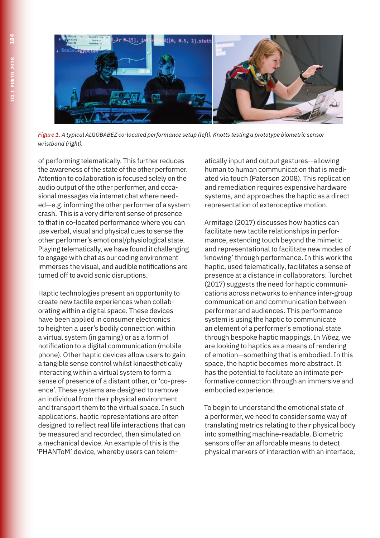

*Figure 1. A typical ALGOBABEZ co-located performance setup (left). Knotts testing a prototype biometric sensor wristband (right).*

of performing telematically. This further reduces the awareness of the state of the other performer. Attention to collaboration is focused solely on the audio output of the other performer, and occasional messages via internet chat where needed—e.g. informing the other performer of a system crash. This is a very different sense of presence to that in co-located performance where you can use verbal, visual and physical cues to sense the other performer's emotional/physiological state. Playing telematically, we have found it challenging to engage with chat as our coding environment immerses the visual, and audible notifications are turned off to avoid sonic disruptions.

Haptic technologies present an opportunity to create new tactile experiences when collaborating within a digital space. These devices have been applied in consumer electronics to heighten a user's bodily connection within a virtual system (in gaming) or as a form of notification to a digital communication (mobile phone). Other haptic devices allow users to gain a tangible sense control whilst kinaesthetically interacting within a virtual system to form a sense of presence of a distant other, or 'co-presence'. These systems are designed to remove an individual from their physical environment and transport them to the virtual space. In such applications, haptic representations are often designed to reflect real life interactions that can be measured and recorded, then simulated on a mechanical device. An example of this is the 'PHANToM' device, whereby users can telematically input and output gestures—allowing human to human communication that is mediated via touch (Paterson 2008). This replication and remediation requires expensive hardware systems, and approaches the haptic as a direct representation of exteroceptive motion.

Armitage (2017) discusses how haptics can facilitate new tactile relationships in performance, extending touch beyond the mimetic and representational to facilitate new modes of 'knowing' through performance. In this work the haptic, used telematically, facilitates a sense of presence at a distance in collaborators. Turchet (2017) suggests the need for haptic communications across networks to enhance inter-group communication and communication between performer and audiences. This performance system is using the haptic to communicate an element of a performer's emotional state through bespoke haptic mappings. In *Vibez,* we are looking to haptics as a means of rendering of emotion—something that is embodied. In this space, the haptic becomes more abstract. It has the potential to facilitate an intimate performative connection through an immersive and embodied experience.

To begin to understand the emotional state of a performer, we need to consider some way of translating metrics relating to their physical body into something machine-readable. Biometric sensors offer an affordable means to detect physical markers of interaction with an interface,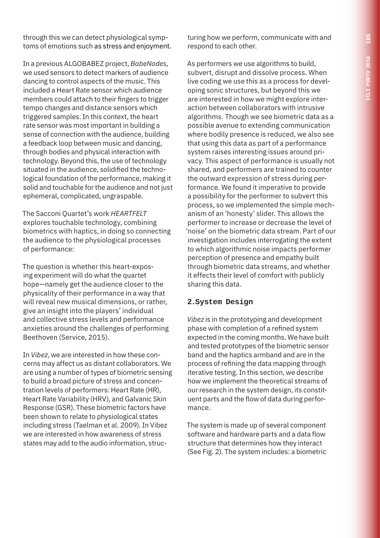through this we can detect physiological symptoms of emotions such as stress and enjoyment.

In a previous ALGOBABEZ project, *BabeNodes*, we used sensors to detect markers of audience dancing to control aspects of the music. This included a Heart Rate sensor which audience members could attach to their fingers to trigger tempo changes and distance sensors which triggered samples. In this context, the heart rate sensor was most important in building a sense of connection with the audience, building a feedback loop between music and dancing, through bodies and physical interaction with technology. Beyond this, the use of technology situated in the audience, solidified the technological foundation of the performance, making it solid and touchable for the audience and not just ephemeral, complicated, ungraspable.

The Sacconi Quartet's work *HEARTFELT* explores touchable technology, combining biometrics with haptics, in doing so connecting the audience to the physiological processes of performance:

The question is whether this heart-exposing experiment will do what the quartet hope—namely get the audience closer to the physicality of their performance in a way that will reveal new musical dimensions, or rather, give an insight into the players' individual and collective stress levels and performance anxieties around the challenges of performing Beethoven (Service, 2015).

In *Vibez*, we are interested in how these concerns may affect us as distant collaborators. We are using a number of types of biometric sensing to build a broad picture of stress and concentration levels of performers: Heart Rate (HR), Heart Rate Variability (HRV), and Galvanic Skin Response (GSR). These biometric factors have been shown to relate to physiological states including stress (Taelman et al. 2009). In Vibez we are interested in how awareness of stress states may add to the audio information, structuring how we perform, communicate with and respond to each other.

As performers we use algorithms to build, subvert, disrupt and dissolve process. When live coding we use this as a process for developing sonic structures, but beyond this we are interested in how we might explore interaction between collaborators with intrusive algorithms. Though we see biometric data as a possible avenue to extending communication where bodily presence is reduced, we also see that using this data as part of a performance system raises interesting issues around privacy. This aspect of performance is usually not shared, and performers are trained to counter the outward expression of stress during performance. We found it imperative to provide a possibility for the performer to subvert this process, so we implemented the simple mechanism of an 'honesty' slider. This allows the performer to increase or decrease the level of 'noise' on the biometric data stream. Part of our investigation includes interrogating the extent to which algorithmic noise impacts performer perception of presence and empathy built through biometric data streams, and whether it effects their level of comfort with publicly sharing this data.

#### **2.System Design**

*Vibez* is in the prototyping and development phase with completion of a refined system expected in the coming months. We have built and tested prototypes of the biometric sensor band and the haptics armband and are in the process of refining the data mapping through iterative testing. In this section, we describe how we implement the theoretical streams of our research in the system design, its constituent parts and the flow of data during performance.

The system is made up of several component software and hardware parts and a data flow structure that determines how they interact (See Fig. 2). The system includes: a biometric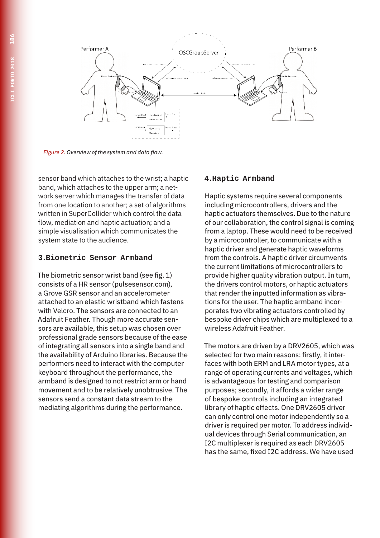

*Figure 2. Overview of the system and data flow.*

sensor band which attaches to the wrist; a haptic band, which attaches to the upper arm; a network server which manages the transfer of data from one location to another; a set of algorithms written in SuperCollider which control the data flow, mediation and haptic actuation; and a simple visualisation which communicates the system state to the audience.

#### **3.Biometric Sensor Armband**

The biometric sensor wrist band (see fig. 1) consists of a HR sensor (pulsesensor.com), a Grove GSR sensor and an accelerometer attached to an elastic wristband which fastens with Velcro. The sensors are connected to an Adafruit Feather. Though more accurate sensors are available, this setup was chosen over professional grade sensors because of the ease of integrating all sensors into a single band and the availability of Arduino libraries. Because the performers need to interact with the computer keyboard throughout the performance, the armband is designed to not restrict arm or hand movement and to be relatively unobtrusive. The sensors send a constant data stream to the mediating algorithms during the performance.

#### **4.Haptic Armband**

Haptic systems require several components including microcontrollers, drivers and the haptic actuators themselves. Due to the nature of our collaboration, the control signal is coming from a laptop. These would need to be received by a microcontroller, to communicate with a haptic driver and generate haptic waveforms from the controls. A haptic driver circumvents the current limitations of microcontrollers to provide higher quality vibration output. In turn, the drivers control motors, or haptic actuators that render the inputted information as vibrations for the user. The haptic armband incorporates two vibrating actuators controlled by bespoke driver chips which are multiplexed to a wireless Adafruit Feather.

The motors are driven by a DRV2605, which was selected for two main reasons: firstly, it interfaces with both ERM and LRA motor types, at a range of operating currents and voltages, which is advantageous for testing and comparison purposes; secondly, it affords a wider range of bespoke controls including an integrated library of haptic effects. One DRV2605 driver can only control one motor independently so a driver is required per motor. To address individual devices through Serial communication, an I2C multiplexer is required as each DRV2605 has the same, fixed I2C address. We have used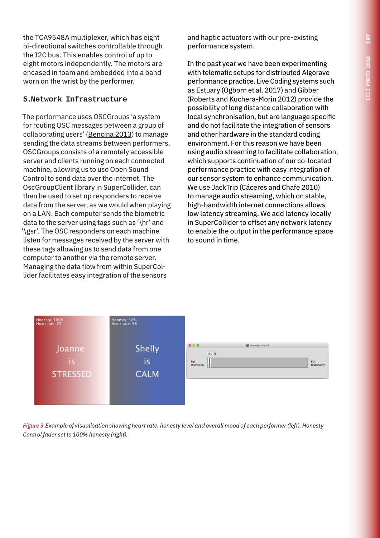the TCA9548A multiplexer, which has eight bi-directional switches controllable through the I2C bus. This enables control of up to eight motors independently. The motors are encased in foam and embedded into a band worn on the wrist by the performer.

#### **5.Network Infrastructure**

The performance uses OSCGroups 'a system for routing OSC messages between a group of collaborating users' (Bencina 2013) to manage sending the data streams between performers. OSCGroups consists of a remotely accessible server and clients running on each connected machine, allowing us to use Open Sound Control to send data over the internet. The OscGroupClient library in SuperCollider, can then be used to set up responders to receive data from the server, as we would when playing on a LAN. Each computer sends the biometric data to the server using tags such as '\hr' and '\gsr'. The OSC responders on each machine listen for messages received by the server with these tags allowing us to send data from one computer to another via the remote server. Managing the data flow from within SuperCollider facilitates easy integration of the sensors

and haptic actuators with our pre-existing performance system.

In the past year we have been experimenting with telematic setups for distributed Algorave performance practice. Live Coding systems such as Estuary (Ogborn et al. 2017) and Gibber (Roberts and Kuchera-Morin 2012) provide the possibility of long distance collaboration with local synchronisation, but are language specific and do not facilitate the integration of sensors and other hardware in the standard coding environment. For this reason we have been using audio streaming to facilitate collaboration, which supports continuation of our co-located performance practice with easy integration of our sensor system to enhance communication. We use JackTrip (Cáceres and Chafe 2010) to manage audio streaming, which on stable, high-bandwidth internet connections allows low latency streaming. We add latency locally in SuperCollider to offset any network latency to enable the output in the performance space to sound in time.



*Figure 3.Example of visualisation showing heart rate, honesty level and overall mood of each performer (left). Honesty Control fader set to 100% honesty (right).*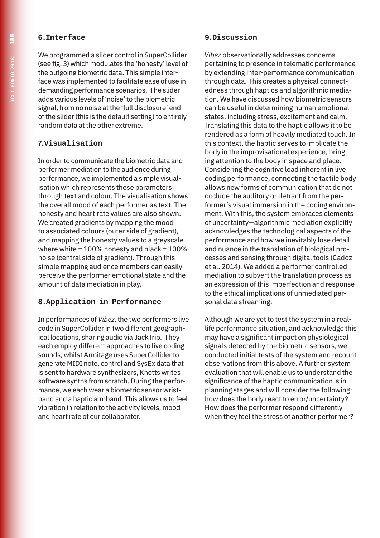#### **6.Interface**

We programmed a slider control in SuperCollider (see fig. 3) which modulates the 'honesty' level of the outgoing biometric data. This simple interface was implemented to facilitate ease of use in demanding performance scenarios. The slider adds various levels of 'noise' to the biometric signal, from no noise at the 'full disclosure' end of the slider (this is the default setting) to entirely random data at the other extreme.

#### **7.Visualisation**

In order to communicate the biometric data and performer mediation to the audience during performance, we implemented a simple visualisation which represents these parameters through text and colour. The visualisation shows the overall mood of each performer as text. The honesty and heart rate values are also shown. We created gradients by mapping the mood to associated colours (outer side of gradient), and mapping the honesty values to a greyscale where white =  $100\%$  honesty and black =  $100\%$ noise (central side of gradient). Through this simple mapping audience members can easily perceive the performer emotional state and the amount of data mediation in play.

#### **8.Application in Performance**

In performances of *Vibez*, the two performers live code in SuperCollider in two different geographical locations, sharing audio via JackTrip. They each employ different approaches to live coding sounds, whilst Armitage uses SuperCollider to generate MIDI note, control and SysEx data that is sent to hardware synthesizers, Knotts writes software synths from scratch. During the performance, we each wear a biometric sensor wristband and a haptic armband. This allows us to feel vibration in relation to the activity levels, mood and heart rate of our collaborator.

#### **9.Discussion**

*Vibez* observationally addresses concerns pertaining to presence in telematic performance by extending inter-performance communication through data. This creates a physical connectedness through haptics and algorithmic mediation. We have discussed how biometric sensors can be useful in determining human emotional states, including stress, excitement and calm. Translating this data to the haptic allows it to be rendered as a form of heavily mediated touch. In this context, the haptic serves to implicate the body in the improvisational experience, bringing attention to the body in space and place. Considering the cognitive load inherent in live coding performance, connecting the tactile body allows new forms of communication that do not occlude the auditory or detract from the performer's visual immersion in the coding environment. With this, the system embraces elements of uncertainty—algorithmic mediation explicitly acknowledges the technological aspects of the performance and how we inevitably lose detail and nuance in the translation of biological processes and sensing through digital tools (Cadoz et al. 2014). We added a performer controlled mediation to subvert the translation process as an expression of this imperfection and response to the ethical implications of unmediated personal data streaming.

Although we are yet to test the system in a reallife performance situation, and acknowledge this may have a significant impact on physiological signals detected by the biometric sensors, we conducted initial tests of the system and recount observations from this above. A further system evaluation that will enable us to understand the significance of the haptic communication is in planning stages and will consider the following: how does the body react to error/uncertainty? How does the performer respond differently when they feel the stress of another performer?